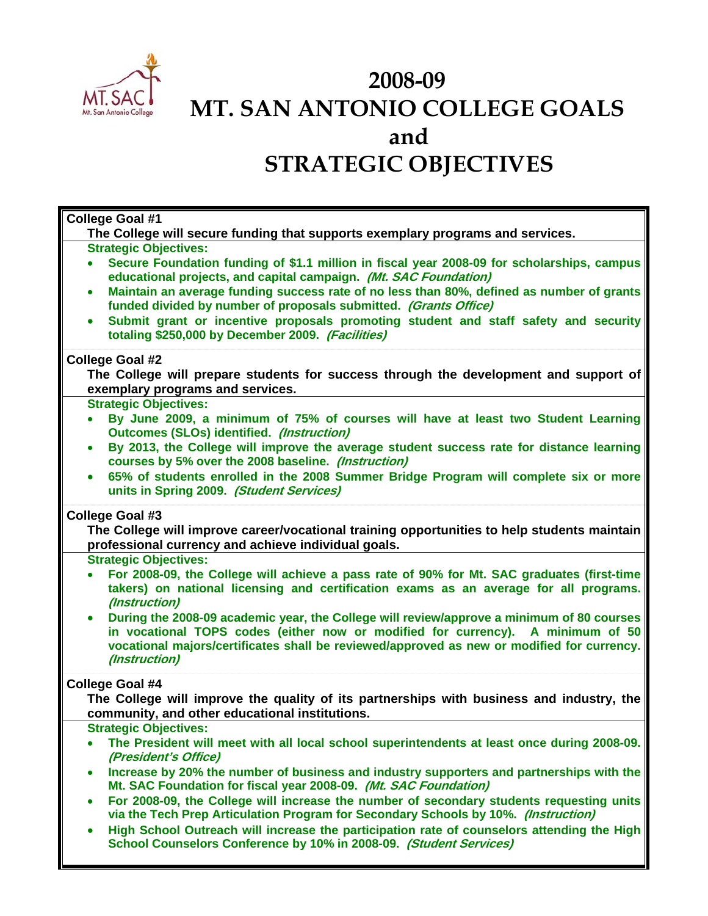

## **2008-09 MT. SAN ANTONIO COLLEGE GOALS and STRATEGIC OBJECTIVES**

| College Goal #1                                                                                                                                                                                                                                                                                                        |
|------------------------------------------------------------------------------------------------------------------------------------------------------------------------------------------------------------------------------------------------------------------------------------------------------------------------|
| The College will secure funding that supports exemplary programs and services.<br><b>Strategic Objectives:</b><br>Secure Foundation funding of \$1.1 million in fiscal year 2008-09 for scholarships, campus<br>$\bullet$<br>educational projects, and capital campaign. (Mt. SAC Foundation)                          |
| Maintain an average funding success rate of no less than 80%, defined as number of grants<br>$\bullet$<br>funded divided by number of proposals submitted. (Grants Office)<br>Submit grant or incentive proposals promoting student and staff safety and security<br>totaling \$250,000 by December 2009. (Facilities) |
| <b>College Goal #2</b><br>The College will prepare students for success through the development and support of<br>exemplary programs and services.                                                                                                                                                                     |
| <b>Strategic Objectives:</b><br>By June 2009, a minimum of 75% of courses will have at least two Student Learning<br>$\bullet$<br><b>Outcomes (SLOs) identified. (Instruction)</b>                                                                                                                                     |
| By 2013, the College will improve the average student success rate for distance learning<br>$\bullet$<br>courses by 5% over the 2008 baseline. (Instruction)                                                                                                                                                           |
| 65% of students enrolled in the 2008 Summer Bridge Program will complete six or more<br>units in Spring 2009. (Student Services)                                                                                                                                                                                       |
| College Goal #3<br>The College will improve career/vocational training opportunities to help students maintain<br>professional currency and achieve individual goals.                                                                                                                                                  |
| <b>Strategic Objectives:</b><br>For 2008-09, the College will achieve a pass rate of 90% for Mt. SAC graduates (first-time<br>takers) on national licensing and certification exams as an average for all programs.<br>(Instruction)                                                                                   |
| During the 2008-09 academic year, the College will review/approve a minimum of 80 courses<br>$\bullet$<br>in vocational TOPS codes (either now or modified for currency). A minimum of 50<br>vocational majors/certificates shall be reviewed/approved as new or modified for currency.<br>(Instruction)               |
| <b>College Goal #4</b><br>The College will improve the quality of its partnerships with business and industry, the<br>community, and other educational institutions.                                                                                                                                                   |
| <b>Strategic Objectives:</b><br>The President will meet with all local school superintendents at least once during 2008-09.<br>(President's Office)                                                                                                                                                                    |
| Increase by 20% the number of business and industry supporters and partnerships with the<br>Mt. SAC Foundation for fiscal year 2008-09. (Mt. SAC Foundation)                                                                                                                                                           |
| For 2008-09, the College will increase the number of secondary students requesting units<br>$\bullet$<br>via the Tech Prep Articulation Program for Secondary Schools by 10%. (Instruction)<br>High School Outreach will increase the participation rate of counselors attending the High                              |
| School Counselors Conference by 10% in 2008-09. (Student Services)                                                                                                                                                                                                                                                     |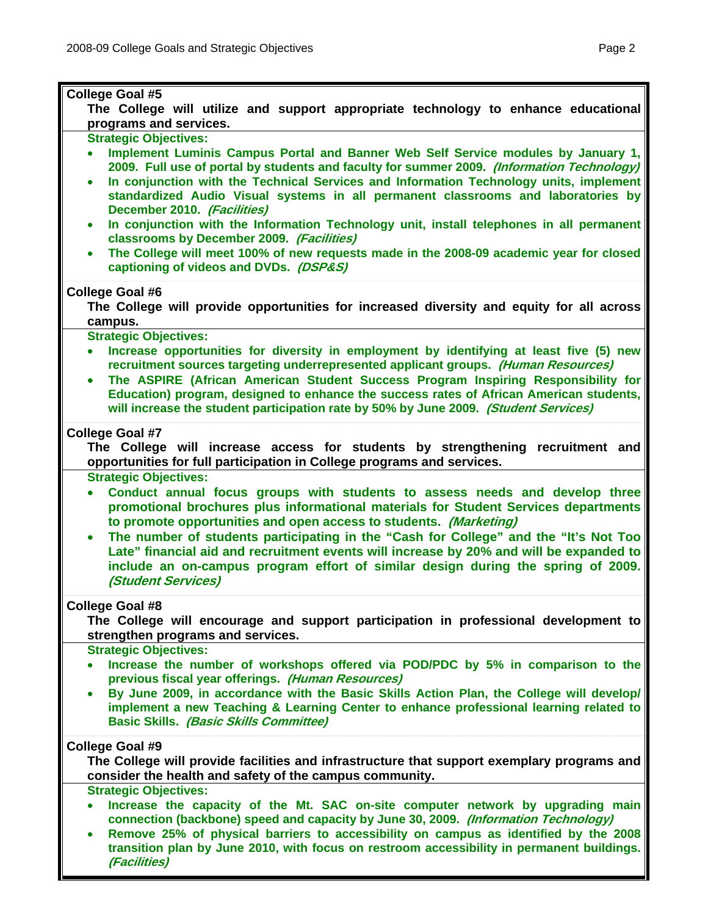÷.

| College Goal #5<br>The College will utilize and support appropriate technology to enhance educational<br>programs and services.                                                                                                                                                                                                                                                                                                                                                                                                                                                                                                                                                                                                                                 |
|-----------------------------------------------------------------------------------------------------------------------------------------------------------------------------------------------------------------------------------------------------------------------------------------------------------------------------------------------------------------------------------------------------------------------------------------------------------------------------------------------------------------------------------------------------------------------------------------------------------------------------------------------------------------------------------------------------------------------------------------------------------------|
| <b>Strategic Objectives:</b><br>Implement Luminis Campus Portal and Banner Web Self Service modules by January 1,<br>$\bullet$<br>2009. Full use of portal by students and faculty for summer 2009. (Information Technology)<br>In conjunction with the Technical Services and Information Technology units, implement<br>$\bullet$<br>standardized Audio Visual systems in all permanent classrooms and laboratories by<br>December 2010. (Facilities)<br>In conjunction with the Information Technology unit, install telephones in all permanent<br>$\bullet$<br>classrooms by December 2009. (Facilities)<br>The College will meet 100% of new requests made in the 2008-09 academic year for closed<br>$\bullet$<br>captioning of videos and DVDs. (DSP&S) |
| College Goal #6<br>The College will provide opportunities for increased diversity and equity for all across<br>campus.                                                                                                                                                                                                                                                                                                                                                                                                                                                                                                                                                                                                                                          |
| <b>Strategic Objectives:</b><br>Increase opportunities for diversity in employment by identifying at least five (5) new<br>$\bullet$<br>recruitment sources targeting underrepresented applicant groups. (Human Resources)<br>The ASPIRE (African American Student Success Program Inspiring Responsibility for<br>$\bullet$<br>Education) program, designed to enhance the success rates of African American students,<br>will increase the student participation rate by 50% by June 2009. (Student Services)                                                                                                                                                                                                                                                 |
| <b>College Goal #7</b><br>The College will increase access for students by strengthening recruitment and<br>opportunities for full participation in College programs and services.                                                                                                                                                                                                                                                                                                                                                                                                                                                                                                                                                                              |
| <b>Strategic Objectives:</b><br>Conduct annual focus groups with students to assess needs and develop three<br>$\bullet$<br>promotional brochures plus informational materials for Student Services departments<br>to promote opportunities and open access to students. (Marketing)<br>The number of students participating in the "Cash for College" and the "It's Not Too<br>$\bullet$<br>Late" financial aid and recruitment events will increase by 20% and will be expanded to<br>include an on-campus program effort of similar design during the spring of 2009.<br>(Student Services)                                                                                                                                                                  |
| College Goal #8<br>The College will encourage and support participation in professional development to<br>strengthen programs and services.                                                                                                                                                                                                                                                                                                                                                                                                                                                                                                                                                                                                                     |
| <b>Strategic Objectives:</b><br>Increase the number of workshops offered via POD/PDC by 5% in comparison to the<br>previous fiscal year offerings. (Human Resources)<br>By June 2009, in accordance with the Basic Skills Action Plan, the College will develop/<br>$\bullet$<br>implement a new Teaching & Learning Center to enhance professional learning related to<br><b>Basic Skills. (Basic Skills Committee)</b>                                                                                                                                                                                                                                                                                                                                        |
| College Goal #9<br>The College will provide facilities and infrastructure that support exemplary programs and<br>consider the health and safety of the campus community.                                                                                                                                                                                                                                                                                                                                                                                                                                                                                                                                                                                        |
| <b>Strategic Objectives:</b><br>Increase the capacity of the Mt. SAC on-site computer network by upgrading main<br>$\bullet$<br>connection (backbone) speed and capacity by June 30, 2009. (Information Technology)<br>Remove 25% of physical barriers to accessibility on campus as identified by the 2008<br>$\bullet$<br>transition plan by June 2010, with focus on restroom accessibility in permanent buildings.<br><i>(Facilities)</i>                                                                                                                                                                                                                                                                                                                   |